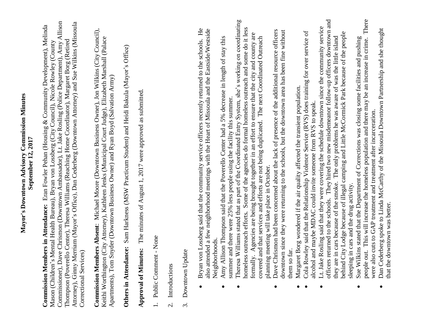## Mayor's Downtown Advisory Commission Minutes **Mayor's Downtown Advisory Commission Minutes** September 12, 2017 **September 12, 2017**

Commissioner), Dave Chrismon (Downtown Ambassador), Lt. Jake Rosling (Police Department), Amy Allison Attorney), Ginny Merriam (Mayor's Office), Dan Cederberg (Downtown Attorney) and Sue Wilkins (Missoula Commissioner), Dave Chrismon (Downtown Ambassador), Lt. Jake Rosling (Police Department), Amy Allison Attorney), Ginny Merriam (Mayor's Office), Dan Cederberg (Downtown Attorney) and Sue Wilkins (Missoula **Commission Members in Attendance:** Eran Fowler Pehan (Housing & Community Development), Melinda Commission Members in Attendance: Eran Fowler Pehan (Housing & Community Development), Melinda Thompson (Poverello Center), Theresa Williams (Reaching Home Coordinator), Margaret Borg (Retired Thompson (Poverello Center), Theresa Williams (Reaching Home Coordinator), Margaret Borg (Retired Mason (Children's Mental Health Bureau), Bryan von Lossberg (City Council), Nicole Rowley (County Mason (Children's Mental Health Bureau), Bryan von Lossberg (City Council), Nicole Rowley (County Correctional Services) Correctional Services)

**Commission Members Absent**: Michael Moore (Downtown Business Owner), Jon Wilkins (City Council), Commission Members Absent: Michael Moore (Downtown Business Owner), Jon Wilkins (City Council), Keithi Worthington (City Attorney), Kathleen Jenks (Municipal Court Judge), Elizabeth Marshall (Palace Keithi Worthington (City Attorney), Kathleen Jenks (Municipal Court Judge), Elizabeth Marshall (Palace Apartments), Tom Snyder (Downtown Business Owner) and Ryan Boyd (Salvation Army) Apartments), Tom Snyder (Downtown Business Owner) and Ryan Boyd (Salvation Army)

Others in Attendance: Sam Harkness (MSW Practicum Student) and Heidi Bakula (Mayor's Office) **Others in Attendance:** Sam Harkness (MSW Practicum Student) and Heidi Bakula (Mayor's Office)

Approval of Minutes: The minutes of August 1, 2017 were approved as submitted. **Approval of Minutes:** The minutes of August 1, 2017 were approved as submitted.

- 1. Public Comment None 1. Public Comment - None
- Introductions 2. Introductions  $\overline{c}$
- Downtown Update 3. Downtown Update  $\dot{\mathfrak{c}}$
- Bryan von Lossberg said that the community service officers recently returned to the schools. He Bryan von Lossberg said that the community service officers recently returned to the schools. He also attended a few neighborhood meetings with the Heart of Missoula and the Eastside/Westside also attended a few neighborhood meetings with the Heart of Missoula and the Eastside/Westside Neighborhoods. Neighborhoods.  $\bullet$ 
	- Amy Allison Thompson said that the Poverello Center had a 5% decrease in length of stay this Amy Allison Thompson said that the Poverello Center had a 5% decrease in length of stay this summer and there were 25% less people using the facility this summer. summer and there were 25% less people using the facility this summer.  $\bullet$
- Theresa Williams stated that as part of the Coordinated Entry System, she's working on coordinating Theresa Williams stated that as part of the Coordinated Entry System, she's working on coordinating homeless outreach efforts. Some of the agencies do formal homeless outreach and some do it less homeless outreach efforts. Some of the agencies do formal homeless outreach and some do it less formally. Agencies are being brought together in an effort to ensure that the city and county are formally. Agencies are being brought together in an effort to ensure that the city and county are covered and that services and efforts are not being duplicated. The next Coordinated Outreach covered and that services and efforts are not being duplicated. The next Coordinated Outreach planning meeting will take place in October. planning meeting will take place in October.  $\bullet$ 
	- Dave Chrismon had been concerned about the lack of presence of the additional resource officers Dave Chrismon had been concerned about the lack of presence of the additional resource officers downtown since they were returning to the schools, but the downtown area has been fine without downtown since they were returning to the schools, but the downtown area has been fine without them so far.  $\bullet$ 
		- Margaret Borg wondered if the air quality affected the transient population. Margaret Borg wondered if the air quality affected the transient population.  $\bullet$
- Cola Rowley said that the Relationship Violence Service (RVS) does training for over service of Cola Rowley said that the Relationship Violence Service (RVS) does training for over service of alcohol and maybe MDAC could invite someone from RVS to speak. alcohol and maybe MDAC could invite someone from RVS to speak.
- officers returned to the schools. They hired two new misdemeanor follow-up officers downtown and officers returned to the schools. They hired two new misdemeanor follow-up officers downtown and Lt. Jake Rosling said that they were covering the schedule downtown since the community service Lt. Jake Rosling said that they were covering the schedule downtown since the community service behind City Lodge because of illegal camping and Little McCormick Park because of the people behind City Lodge because of illegal camping and Little McCormick Park because of the people they are in cars because of the smoke. The only problems he was aware of was the little island they are in cars because of the smoke. The only problems he was aware of was the little island sleeping in cars and the drug activity. sleeping in cars and the drug activity.
- people out. This will increase the homeless population and there may be an increase in crime. There people out. This will increase the homeless population and there may be an increase in crime. There Sue Wilkins stated that the Department of Corrections was closing some facilities and pushing Sue Wilkins stated that the Department of Corrections was closing some facilities and pushing were also cuts to GAP treatment and treatment after incarceration. were also cuts to GAP treatment and treatment after incarceration.  $\bullet$ 
	- Dan Cederberg spoke to Linda McCarthy of the Missoula Downtown Partnership and she thought Dan Cederberg spoke to Linda McCarthy of the Missoula Downtown Partnership and she thought that the downtown was better.that the downtown was better.  $\bullet$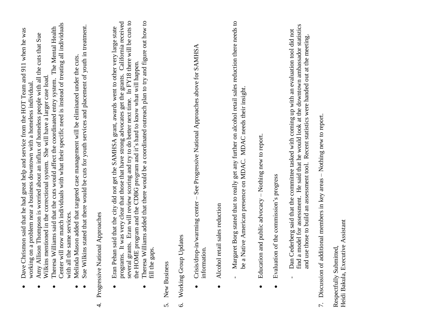- Dave Chrismon said that he had great help and service from the HOT Team and 911 when he was Dave Chrismon said that he had great help and service from the HOT Team and 911 when he was working on a problem near a business downtown with a homeless individual. working on a problem near a business downtown with a homeless individual
	- Amy Allison Thompson is worried about an influx of homeless people with all the cuts that Sue Amy Allison Thompson is worried about an influx of homeless people with all the cuts that Sue Wilkins mentioned in the correctional system. She will have a larger case load. Wilkins mentioned in the correctional system. She will have a larger case load.
- Center will now match individuals with what their specific need is instead of treating all individuals Center will now match individuals with what their specific need is instead of treating all individuals Theresa Williams said that the cuts would affect the coordinated entry system. The Mental Health Theresa Williams said that the cuts would affect the coordinated entry system. The Mental Health with all the same services. with all the same services.
	- Melinda Mason added that targeted case management will be eliminated under the cuts. Melinda Mason added that targeted case management will be eliminated under the cuts.
- Sue Wilkins stated that there would be cuts for youth services and placement of youth in treatment. Sue Wilkins stated that there would be cuts for youth services and placement of youth in treatment.
- Progressive National Approaches 4. Progressive National Approaches  $\vec{r}$
- several grants. Eran will review scoring and try to do better next time. In FY18 there will be cuts to programs. It was very clear that those that have strong advocates get the grants. California received several grants. Eran will review scoring and try to do better next time. In FY18 there will be cuts to programs. It was very clear that those that have strong advocates get the grants. California received Eran Pehan said that the city did not get the SAMHSA grant, awards went to other very large state Eran Pehan said that the city did not get the SAMHSA grant, awards went to other very large state the HOME program and the CDBG program and it's hard to know what will happen. the HOME program and the CDBG program and it's hard to know what will happen.
	- Theresa Williams added that there would be a coordinated outreach plan to try and figure out how to Theresa Williams added that there would be a coordinated outreach plan to try and figure out how to fill the gaps.  $\bullet$
- New Business 5. New Business  $\dot{\delta}$
- Working Group Updates 6. Working Group Updates  $\acute{\circ}$
- Crisis/drop-in/warming center See Progressive National Approaches above for SAMHSA Crisis/drop-in/warming center - See Progressive National Approaches above for SAMHSA information.  $\bullet$
- Alcohol retail sales reduction Alcohol retail sales reduction  $\bullet$
- Margaret Borg stated that to really get any further on alcohol retail sales reduction there needs to Margaret Borg stated that to really get any further on alcohol retail sales reduction there needs to be a Native American presence on MDAC. MDAC needs their insight. be a Native American presence on MDAC. MDAC needs their insight.
- Education and public advocacy Nothing new to report.  $\bullet$  Education and public advocacy – Nothing new to report.  $\bullet$
- Evaluation of the commission's progress  $\bullet$  Evaluation of the commission's progress  $\bullet$
- find a model for assessment. He said that he would look at the downtown ambassador statistics find a model for assessment. He said that he would look at the downtown ambassador statistics - Dan Cederberg said that the committee tasked with coming up with an evaluation tool did not Dan Cederberg said that the committee tasked with coming up with an evaluation tool did not and use those to build an assessment tool. Recent statistics were handed out at the meeting. and use those to build an assessment tool. Recent statistics were handed out at the meeting.
- Discussion of additional members in key areas Nothing new to report. 7. Discussion of additional members in key areas – Nothing new to report.  $\overline{r}$ .

Heidi Bakula, Executive Assistant Heidi Bakula, Executive AssistantRespectfully Submitted, Respectfully Submitted,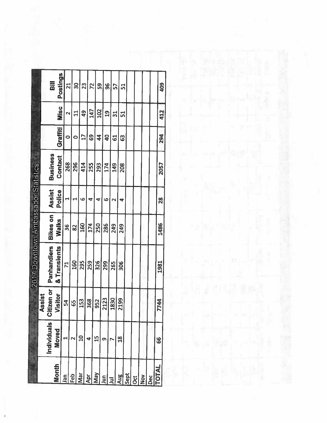|              |                |                                    | 2017 Downtown Ambassador Statistics |          |          |                 |                 |               |            |
|--------------|----------------|------------------------------------|-------------------------------------|----------|----------|-----------------|-----------------|---------------|------------|
|              |                |                                    |                                     |          |          |                 |                 |               |            |
|              | Individuals    | <b>izen or</b><br>Assist<br>Citize | Panhandlers                         | Bikes on | Assist   | <b>Business</b> |                 |               | Bill       |
| Month        | <b>Moved</b>   | Visitor                            | & Transients                        | Walks    | Police   | Contact         | <b>Graffiti</b> | Misc<br>E     | Postings   |
| Jan          |                | 54                                 | $\mathcal{L}$                       | 36       |          | 268             | o               | N             | 21         |
| Feb          |                | 65                                 | 160                                 | 82       |          | 296             |                 | $\Xi$         | <u>ခု</u>  |
| ā            | g              | 153                                | 295                                 | 160      | ဖ        | 414             | $\mathbf{1}$    | $\frac{9}{4}$ | 23         |
| ă            | 4              | 368                                | 259                                 | 174      | 4        | 255             | G9              | 147           | 72         |
| Nay          | $\frac{5}{1}$  | 952                                | 326                                 | 250      | 4        | 293             | $\frac{4}{3}$   | 102           | 59         |
| Su           | Œ              | 2123                               | 299                                 | 286      | ဖ        | 174             | 9               | 9             | 96         |
|              |                | 1830                               | 265                                 | 249      |          | 149             | 5               | ಸ             | 5          |
| Aug          | $\frac{8}{11}$ | 2199                               | 306                                 | 249      |          | 208             | ශී              | 51            | 51         |
| Sept         |                |                                    |                                     |          |          |                 |                 |               |            |
| <u>oct</u>   |                |                                    |                                     |          |          |                 |                 |               |            |
| $\geq$       |                |                                    |                                     |          |          |                 |                 |               |            |
| Dec          |                |                                    |                                     |          |          |                 |                 |               |            |
| <b>TOTAL</b> | 8              | 744                                | 1981                                | 1486     | 88<br>29 | <b>2057</b>     | 294             | 412           | <b>SOF</b> |
|              |                |                                    |                                     |          |          |                 |                 |               |            |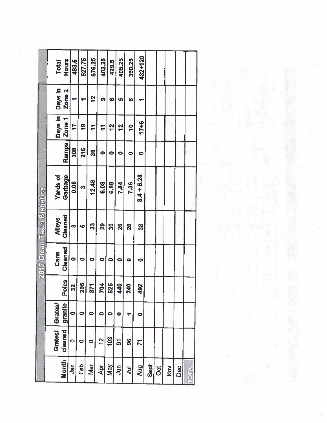|                            | <b>Total</b>    | Hours             | 483.5     | 527.75    | 676.25        | 402.25         | 429.5               | 405.25                  | 390.25             | 432+120       |      |   |     |     |              |
|----------------------------|-----------------|-------------------|-----------|-----------|---------------|----------------|---------------------|-------------------------|--------------------|---------------|------|---|-----|-----|--------------|
|                            | Days in         | Zone <sub>2</sub> |           |           | $\frac{2}{3}$ | ၈              | 9                   | 5                       | $\ddot{\circ}$     |               |      |   |     |     |              |
|                            | Days in         | Zone <sub>1</sub> | 17        | <u>ღ</u>  | $\mathbf{r}$  | $\mathbf{r}$   | 12                  | 12                      | $\frac{1}{2}$      | $17 + 6$      |      |   |     |     |              |
|                            |                 | <b>Ramps</b>      | 308       | 216       | 86<br>R       | $\bullet$      | 0                   | 0                       | 0                  | 0             |      |   |     |     |              |
|                            | <b>Yards of</b> | Garbage           | 0.08      | က         | 12.48         | 6.08           | 6.88                | 7.84                    | 7.36               | $8.4 + 5.28$  |      |   |     |     |              |
| 2017 Clean Team Statistics | <b>Alleys</b>   | Cleaned           | m         | 5         | 33            | <u>က</u>       | ဗ္တ                 | $\frac{8}{2}$           | 88<br>20           | <u>က</u>      |      |   |     |     |              |
|                            | Cans            | Cleaned           | 0         | 0         | o             | 0              | 0                   | c                       |                    | $\bullet$     |      |   |     |     |              |
|                            |                 | Poles             | 32        | 295       | 24            | 201            | $\frac{25}{2}$<br>Φ | $\overline{\mathbf{z}}$ | $\frac{1}{2}$<br>N | $\frac{2}{2}$ |      |   |     |     |              |
|                            | <b>Grates/</b>  | granite           | $\bullet$ | 0         |               | 0              | 0                   |                         |                    | 0             |      |   |     |     |              |
|                            | <b>Grates/</b>  | cleaned           | $\bullet$ | $\bullet$ | 0             | $\overline{2}$ | 103                 | <u>ක</u>                | 96                 | $\mathbf{z}$  |      |   |     |     |              |
|                            |                 | <b>Month</b>      | Jan       | Feb       | Mar           | Apr            | <b>May</b>          | $\overline{5}$          | $\overline{5}$     | <b>Aug</b>    | Sept | Ö | Nov | Dec | <b>TOTAL</b> |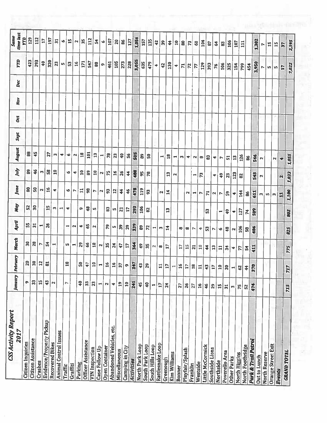| 3,055<br>423<br>293<br>320<br>$\ddot{ }$<br>171<br>547<br>461<br>105<br>273<br>228<br>23<br>3,950<br>16<br>635<br>S3<br>479<br>88<br>130<br>n<br>129<br>393<br>ø<br>42<br>106<br>325<br>154<br>799<br>$\mathbb{Z}$<br>454<br>$\overline{r}$<br>$\overline{76}$<br>÷<br>77<br>↔<br>17<br>m.<br>$\overline{ }$<br>้เก<br>88<br>45<br>101<br>27<br>18<br>505<br>$\mathbf{r}$<br>78<br>$\ddot{ }$<br>m<br>₩<br>G<br>$\mathbb{Z}^2$<br>$\sim$<br>S6<br>89<br><u>ទ</u><br>$\blacksquare$<br>$\mathbf{a}$<br>126<br>546<br>83<br>⊣<br>$\overline{\phantom{0}}$<br>w<br>4<br>$\frac{3}{12}$<br>$\mathbf{r}$<br>$\overline{5}$<br>86<br>$\sim$<br>₩<br>$\sim$<br>$\blacklozenge$<br>$\sim$<br>$\mathbf{\mathsf{N}}$<br>46<br>8<br>58<br>∣ຊ<br>$\mathbf{a}$<br>488<br>8<br>m<br>$\overline{10}$<br>75<br>16<br>26<br>e<br>4<br>\$<br>$\mathbf{N}$<br>56<br>78<br>13<br>123<br>543<br>23<br>$\mathbf{r}$<br>\$<br>$\mathbf{z}$<br>82<br>⊣<br>4<br>$\mathbf{r}$<br>$\mathbf{N}$<br>8<br><u>ទី</u><br>$\frac{16}{1}$<br>478<br>98<br>119<br>N<br>$\Xi$<br>53<br>4<br>o<br>$\overline{12}$<br>$\frac{3}{4}$<br>N<br>\$<br>N<br>8<br>$\tilde{\phantom{a}}$<br>14<br>144<br>611<br>$\mathbf{N}$<br>$\overline{\mathbf{r}}$<br>S,<br>2<br>86<br>$\overline{\phantom{0}}$<br>r<br>Z<br>N<br>4<br>$\overline{a}$<br>ω<br>n,<br>S<br>$30^{\circ}$<br>52<br>15<br>293<br>106<br>48<br>Z<br>83<br>$\blacktriangleright$<br>◆<br>õ<br>Lŋ,<br>21<br>$\overline{17}$<br>S<br>8<br>$\mathbf{r}$<br><b>SP</b><br>127<br>ួ<br>$\frac{6}{7}$<br>74<br>$\blacksquare$<br>$\blacklozenge$<br>SS <sub>1</sub><br>$\overline{31}$<br>26<br>339<br>65<br>$\blacksquare$<br>79<br>$\frac{1}{3}$<br>29<br>$\sim$<br>٠<br>↤<br>8<br>$\mathbf{N}$<br>72<br>LO <sub>2</sub><br>$\sharp$<br>106<br>486<br>S<br>$\blacktriangleright$<br>S3<br>œ<br>8<br>48<br>$\sim$<br>4<br>58<br>Ф<br>Z<br>$\mathbf{\tilde{N}}$<br>$\overline{30}$<br>28<br>$\frac{1}{2}$<br>364<br>$\mathbf{S}$<br>8<br>N<br>$\overline{18}$<br>55<br>24<br>₩<br>w<br>$\overline{\phantom{0}}$<br>47<br>17<br>$\ddot{ }$<br>55<br>N<br>$\overline{17}$<br>$\mathbf{r}$<br>15<br>$\overline{10}$<br>$\sim$<br>$\bullet$<br>411<br>$\overline{z}$<br>\$<br>$\mathbf{a}$<br>$\mathbf{H}$<br>$\frac{4}{5}$<br>$\frac{4}{5}$<br>77<br>4<br>$30^{\circ}$<br>$\overline{\mathbf{a}}$<br>12<br>$\overline{a}$<br>$\mathbf{a}$<br>នី<br>347<br>$\overline{10}$<br>$\frac{1}{4}$<br>16<br>16<br>37<br>43<br>29<br>$\overline{\phantom{a}}$<br>$\sigma$<br>$\Xi$<br>17<br>16<br>18<br>370<br>$\overline{17}$<br>$\overline{1}$<br>$\ddot{ }$<br>$\mathbf{a}$<br>$\overline{30}$<br>$\overline{17}$<br>$\overline{\phantom{0}}$<br><b>G2</b><br>\$<br>$\blacksquare$<br>33<br>15<br>$\ddot{a}$<br>o<br>$\ddot{ }$<br>241<br>$\mathfrak{A}$<br>23<br>N<br>$\overline{\phantom{0}}$<br>$\frac{9}{10}$<br>$\overline{10}$<br>$\frac{45}{3}$<br>$\frac{1}{2}$<br>$\mathbf{N}$<br>÷<br>Ħ<br>$\mathbf{L}$<br>24<br>26<br>27<br>$\frac{16}{1}$<br>474<br>$\blacksquare$<br>27<br>46<br>29<br>$\frac{15}{11}$<br>$\overline{31}$<br>75<br>$\boldsymbol{\mathcal{S}}$<br>m<br>Evidence/Property Pickup<br>Abandoned Vehicles, etc.<br>Animal Control Issues<br>Citizen Assistance<br>Park & Trail Patrol<br>Officer Assistance<br><b>Recovered Bikes</b><br>Rattlesnake Loop<br><b>Orange Street Exit</b><br>North Park Loop<br>South Park Loop<br>Little McCormick<br>North Footbridge<br>South Hills Loop<br>Open Container<br><b>Camping in City</b><br>Case Follow Up<br><b>VIN Inspection</b><br>Southside Lions<br>Playfair/Splash<br>Miscellaneous<br>Poverello Area<br>Kim Williams<br>North Reserve<br>North Higgins<br>Out to Lunch<br>Other Parks<br>Greenough<br><b>Activities</b><br>Northside<br>Crashes<br>Westside<br>Parking<br>Franklin<br>Graffiti<br>Traffic<br><b>Bonner</b><br>Events | <b>CSS Activity Report</b><br>2017 | January | February | March | April | <b>May</b> | June | July | August | Sept | d | Nov | Dec | E | time last<br>Same   |
|-------------------------------------------------------------------------------------------------------------------------------------------------------------------------------------------------------------------------------------------------------------------------------------------------------------------------------------------------------------------------------------------------------------------------------------------------------------------------------------------------------------------------------------------------------------------------------------------------------------------------------------------------------------------------------------------------------------------------------------------------------------------------------------------------------------------------------------------------------------------------------------------------------------------------------------------------------------------------------------------------------------------------------------------------------------------------------------------------------------------------------------------------------------------------------------------------------------------------------------------------------------------------------------------------------------------------------------------------------------------------------------------------------------------------------------------------------------------------------------------------------------------------------------------------------------------------------------------------------------------------------------------------------------------------------------------------------------------------------------------------------------------------------------------------------------------------------------------------------------------------------------------------------------------------------------------------------------------------------------------------------------------------------------------------------------------------------------------------------------------------------------------------------------------------------------------------------------------------------------------------------------------------------------------------------------------------------------------------------------------------------------------------------------------------------------------------------------------------------------------------------------------------------------------------------------------------------------------------------------------------------------------------------------------------------------------------------------------------------------------------------------------------------------------------------------------------------------------------------------------------------------------------------------------------------------------------------------------------------------------------------------------------------------------------------------------------------------------------------------------------------------------------------------------------------------------------------------------------------------------------------------------------------------------------------------------------------------------------------------------------------------------------------------------------------------------------------------------------------------------------------------------------------------------------------------------------------------------------------------------------------------------------------------------------------------------------------------------------------------------------------------------------------------------------------------------|------------------------------------|---------|----------|-------|-------|------------|------|------|--------|------|---|-----|-----|---|---------------------|
|                                                                                                                                                                                                                                                                                                                                                                                                                                                                                                                                                                                                                                                                                                                                                                                                                                                                                                                                                                                                                                                                                                                                                                                                                                                                                                                                                                                                                                                                                                                                                                                                                                                                                                                                                                                                                                                                                                                                                                                                                                                                                                                                                                                                                                                                                                                                                                                                                                                                                                                                                                                                                                                                                                                                                                                                                                                                                                                                                                                                                                                                                                                                                                                                                                                                                                                                                                                                                                                                                                                                                                                                                                                                                                                                                                                                                   | Citizen Inquiries                  |         |          |       |       |            |      |      |        |      |   |     |     |   | YTD                 |
|                                                                                                                                                                                                                                                                                                                                                                                                                                                                                                                                                                                                                                                                                                                                                                                                                                                                                                                                                                                                                                                                                                                                                                                                                                                                                                                                                                                                                                                                                                                                                                                                                                                                                                                                                                                                                                                                                                                                                                                                                                                                                                                                                                                                                                                                                                                                                                                                                                                                                                                                                                                                                                                                                                                                                                                                                                                                                                                                                                                                                                                                                                                                                                                                                                                                                                                                                                                                                                                                                                                                                                                                                                                                                                                                                                                                                   |                                    |         |          |       |       |            |      |      |        |      |   |     |     |   | 129                 |
|                                                                                                                                                                                                                                                                                                                                                                                                                                                                                                                                                                                                                                                                                                                                                                                                                                                                                                                                                                                                                                                                                                                                                                                                                                                                                                                                                                                                                                                                                                                                                                                                                                                                                                                                                                                                                                                                                                                                                                                                                                                                                                                                                                                                                                                                                                                                                                                                                                                                                                                                                                                                                                                                                                                                                                                                                                                                                                                                                                                                                                                                                                                                                                                                                                                                                                                                                                                                                                                                                                                                                                                                                                                                                                                                                                                                                   |                                    |         |          |       |       |            |      |      |        |      |   |     |     |   | 112                 |
|                                                                                                                                                                                                                                                                                                                                                                                                                                                                                                                                                                                                                                                                                                                                                                                                                                                                                                                                                                                                                                                                                                                                                                                                                                                                                                                                                                                                                                                                                                                                                                                                                                                                                                                                                                                                                                                                                                                                                                                                                                                                                                                                                                                                                                                                                                                                                                                                                                                                                                                                                                                                                                                                                                                                                                                                                                                                                                                                                                                                                                                                                                                                                                                                                                                                                                                                                                                                                                                                                                                                                                                                                                                                                                                                                                                                                   |                                    |         |          |       |       |            |      |      |        |      |   |     |     |   | $\overline{17}$     |
|                                                                                                                                                                                                                                                                                                                                                                                                                                                                                                                                                                                                                                                                                                                                                                                                                                                                                                                                                                                                                                                                                                                                                                                                                                                                                                                                                                                                                                                                                                                                                                                                                                                                                                                                                                                                                                                                                                                                                                                                                                                                                                                                                                                                                                                                                                                                                                                                                                                                                                                                                                                                                                                                                                                                                                                                                                                                                                                                                                                                                                                                                                                                                                                                                                                                                                                                                                                                                                                                                                                                                                                                                                                                                                                                                                                                                   |                                    |         |          |       |       |            |      |      |        |      |   |     |     |   | 197                 |
|                                                                                                                                                                                                                                                                                                                                                                                                                                                                                                                                                                                                                                                                                                                                                                                                                                                                                                                                                                                                                                                                                                                                                                                                                                                                                                                                                                                                                                                                                                                                                                                                                                                                                                                                                                                                                                                                                                                                                                                                                                                                                                                                                                                                                                                                                                                                                                                                                                                                                                                                                                                                                                                                                                                                                                                                                                                                                                                                                                                                                                                                                                                                                                                                                                                                                                                                                                                                                                                                                                                                                                                                                                                                                                                                                                                                                   |                                    |         |          |       |       |            |      |      |        |      |   |     |     |   | $\overline{5}$      |
|                                                                                                                                                                                                                                                                                                                                                                                                                                                                                                                                                                                                                                                                                                                                                                                                                                                                                                                                                                                                                                                                                                                                                                                                                                                                                                                                                                                                                                                                                                                                                                                                                                                                                                                                                                                                                                                                                                                                                                                                                                                                                                                                                                                                                                                                                                                                                                                                                                                                                                                                                                                                                                                                                                                                                                                                                                                                                                                                                                                                                                                                                                                                                                                                                                                                                                                                                                                                                                                                                                                                                                                                                                                                                                                                                                                                                   |                                    |         |          |       |       |            |      |      |        |      |   |     |     |   | ø                   |
|                                                                                                                                                                                                                                                                                                                                                                                                                                                                                                                                                                                                                                                                                                                                                                                                                                                                                                                                                                                                                                                                                                                                                                                                                                                                                                                                                                                                                                                                                                                                                                                                                                                                                                                                                                                                                                                                                                                                                                                                                                                                                                                                                                                                                                                                                                                                                                                                                                                                                                                                                                                                                                                                                                                                                                                                                                                                                                                                                                                                                                                                                                                                                                                                                                                                                                                                                                                                                                                                                                                                                                                                                                                                                                                                                                                                                   |                                    |         |          |       |       |            |      |      |        |      |   |     |     |   | 15                  |
|                                                                                                                                                                                                                                                                                                                                                                                                                                                                                                                                                                                                                                                                                                                                                                                                                                                                                                                                                                                                                                                                                                                                                                                                                                                                                                                                                                                                                                                                                                                                                                                                                                                                                                                                                                                                                                                                                                                                                                                                                                                                                                                                                                                                                                                                                                                                                                                                                                                                                                                                                                                                                                                                                                                                                                                                                                                                                                                                                                                                                                                                                                                                                                                                                                                                                                                                                                                                                                                                                                                                                                                                                                                                                                                                                                                                                   |                                    |         |          |       |       |            |      |      |        |      |   |     |     |   | $\mathbf{N}$        |
|                                                                                                                                                                                                                                                                                                                                                                                                                                                                                                                                                                                                                                                                                                                                                                                                                                                                                                                                                                                                                                                                                                                                                                                                                                                                                                                                                                                                                                                                                                                                                                                                                                                                                                                                                                                                                                                                                                                                                                                                                                                                                                                                                                                                                                                                                                                                                                                                                                                                                                                                                                                                                                                                                                                                                                                                                                                                                                                                                                                                                                                                                                                                                                                                                                                                                                                                                                                                                                                                                                                                                                                                                                                                                                                                                                                                                   |                                    |         |          |       |       |            |      |      |        |      |   |     |     |   | 35                  |
|                                                                                                                                                                                                                                                                                                                                                                                                                                                                                                                                                                                                                                                                                                                                                                                                                                                                                                                                                                                                                                                                                                                                                                                                                                                                                                                                                                                                                                                                                                                                                                                                                                                                                                                                                                                                                                                                                                                                                                                                                                                                                                                                                                                                                                                                                                                                                                                                                                                                                                                                                                                                                                                                                                                                                                                                                                                                                                                                                                                                                                                                                                                                                                                                                                                                                                                                                                                                                                                                                                                                                                                                                                                                                                                                                                                                                   |                                    |         |          |       |       |            |      |      |        |      |   |     |     |   |                     |
|                                                                                                                                                                                                                                                                                                                                                                                                                                                                                                                                                                                                                                                                                                                                                                                                                                                                                                                                                                                                                                                                                                                                                                                                                                                                                                                                                                                                                                                                                                                                                                                                                                                                                                                                                                                                                                                                                                                                                                                                                                                                                                                                                                                                                                                                                                                                                                                                                                                                                                                                                                                                                                                                                                                                                                                                                                                                                                                                                                                                                                                                                                                                                                                                                                                                                                                                                                                                                                                                                                                                                                                                                                                                                                                                                                                                                   |                                    |         |          |       |       |            |      |      |        |      |   |     |     |   | 112                 |
|                                                                                                                                                                                                                                                                                                                                                                                                                                                                                                                                                                                                                                                                                                                                                                                                                                                                                                                                                                                                                                                                                                                                                                                                                                                                                                                                                                                                                                                                                                                                                                                                                                                                                                                                                                                                                                                                                                                                                                                                                                                                                                                                                                                                                                                                                                                                                                                                                                                                                                                                                                                                                                                                                                                                                                                                                                                                                                                                                                                                                                                                                                                                                                                                                                                                                                                                                                                                                                                                                                                                                                                                                                                                                                                                                                                                                   |                                    |         |          |       |       |            |      |      |        |      |   |     |     |   | <b>Å</b>            |
|                                                                                                                                                                                                                                                                                                                                                                                                                                                                                                                                                                                                                                                                                                                                                                                                                                                                                                                                                                                                                                                                                                                                                                                                                                                                                                                                                                                                                                                                                                                                                                                                                                                                                                                                                                                                                                                                                                                                                                                                                                                                                                                                                                                                                                                                                                                                                                                                                                                                                                                                                                                                                                                                                                                                                                                                                                                                                                                                                                                                                                                                                                                                                                                                                                                                                                                                                                                                                                                                                                                                                                                                                                                                                                                                                                                                                   |                                    |         |          |       |       |            |      |      |        |      |   |     |     |   | ø                   |
|                                                                                                                                                                                                                                                                                                                                                                                                                                                                                                                                                                                                                                                                                                                                                                                                                                                                                                                                                                                                                                                                                                                                                                                                                                                                                                                                                                                                                                                                                                                                                                                                                                                                                                                                                                                                                                                                                                                                                                                                                                                                                                                                                                                                                                                                                                                                                                                                                                                                                                                                                                                                                                                                                                                                                                                                                                                                                                                                                                                                                                                                                                                                                                                                                                                                                                                                                                                                                                                                                                                                                                                                                                                                                                                                                                                                                   |                                    |         |          |       |       |            |      |      |        |      |   |     |     |   | 107                 |
|                                                                                                                                                                                                                                                                                                                                                                                                                                                                                                                                                                                                                                                                                                                                                                                                                                                                                                                                                                                                                                                                                                                                                                                                                                                                                                                                                                                                                                                                                                                                                                                                                                                                                                                                                                                                                                                                                                                                                                                                                                                                                                                                                                                                                                                                                                                                                                                                                                                                                                                                                                                                                                                                                                                                                                                                                                                                                                                                                                                                                                                                                                                                                                                                                                                                                                                                                                                                                                                                                                                                                                                                                                                                                                                                                                                                                   |                                    |         |          |       |       |            |      |      |        |      |   |     |     |   | $\overline{20}$     |
|                                                                                                                                                                                                                                                                                                                                                                                                                                                                                                                                                                                                                                                                                                                                                                                                                                                                                                                                                                                                                                                                                                                                                                                                                                                                                                                                                                                                                                                                                                                                                                                                                                                                                                                                                                                                                                                                                                                                                                                                                                                                                                                                                                                                                                                                                                                                                                                                                                                                                                                                                                                                                                                                                                                                                                                                                                                                                                                                                                                                                                                                                                                                                                                                                                                                                                                                                                                                                                                                                                                                                                                                                                                                                                                                                                                                                   |                                    |         |          |       |       |            |      |      |        |      |   |     |     |   | 98                  |
|                                                                                                                                                                                                                                                                                                                                                                                                                                                                                                                                                                                                                                                                                                                                                                                                                                                                                                                                                                                                                                                                                                                                                                                                                                                                                                                                                                                                                                                                                                                                                                                                                                                                                                                                                                                                                                                                                                                                                                                                                                                                                                                                                                                                                                                                                                                                                                                                                                                                                                                                                                                                                                                                                                                                                                                                                                                                                                                                                                                                                                                                                                                                                                                                                                                                                                                                                                                                                                                                                                                                                                                                                                                                                                                                                                                                                   |                                    |         |          |       |       |            |      |      |        |      |   |     |     |   | 127                 |
|                                                                                                                                                                                                                                                                                                                                                                                                                                                                                                                                                                                                                                                                                                                                                                                                                                                                                                                                                                                                                                                                                                                                                                                                                                                                                                                                                                                                                                                                                                                                                                                                                                                                                                                                                                                                                                                                                                                                                                                                                                                                                                                                                                                                                                                                                                                                                                                                                                                                                                                                                                                                                                                                                                                                                                                                                                                                                                                                                                                                                                                                                                                                                                                                                                                                                                                                                                                                                                                                                                                                                                                                                                                                                                                                                                                                                   |                                    |         |          |       |       |            |      |      |        |      |   |     |     |   | 1,056               |
|                                                                                                                                                                                                                                                                                                                                                                                                                                                                                                                                                                                                                                                                                                                                                                                                                                                                                                                                                                                                                                                                                                                                                                                                                                                                                                                                                                                                                                                                                                                                                                                                                                                                                                                                                                                                                                                                                                                                                                                                                                                                                                                                                                                                                                                                                                                                                                                                                                                                                                                                                                                                                                                                                                                                                                                                                                                                                                                                                                                                                                                                                                                                                                                                                                                                                                                                                                                                                                                                                                                                                                                                                                                                                                                                                                                                                   |                                    |         |          |       |       |            |      |      |        |      |   |     |     |   | 157                 |
|                                                                                                                                                                                                                                                                                                                                                                                                                                                                                                                                                                                                                                                                                                                                                                                                                                                                                                                                                                                                                                                                                                                                                                                                                                                                                                                                                                                                                                                                                                                                                                                                                                                                                                                                                                                                                                                                                                                                                                                                                                                                                                                                                                                                                                                                                                                                                                                                                                                                                                                                                                                                                                                                                                                                                                                                                                                                                                                                                                                                                                                                                                                                                                                                                                                                                                                                                                                                                                                                                                                                                                                                                                                                                                                                                                                                                   |                                    |         |          |       |       |            |      |      |        |      |   |     |     |   | 135                 |
|                                                                                                                                                                                                                                                                                                                                                                                                                                                                                                                                                                                                                                                                                                                                                                                                                                                                                                                                                                                                                                                                                                                                                                                                                                                                                                                                                                                                                                                                                                                                                                                                                                                                                                                                                                                                                                                                                                                                                                                                                                                                                                                                                                                                                                                                                                                                                                                                                                                                                                                                                                                                                                                                                                                                                                                                                                                                                                                                                                                                                                                                                                                                                                                                                                                                                                                                                                                                                                                                                                                                                                                                                                                                                                                                                                                                                   |                                    |         |          |       |       |            |      |      |        |      |   |     |     |   | 42                  |
|                                                                                                                                                                                                                                                                                                                                                                                                                                                                                                                                                                                                                                                                                                                                                                                                                                                                                                                                                                                                                                                                                                                                                                                                                                                                                                                                                                                                                                                                                                                                                                                                                                                                                                                                                                                                                                                                                                                                                                                                                                                                                                                                                                                                                                                                                                                                                                                                                                                                                                                                                                                                                                                                                                                                                                                                                                                                                                                                                                                                                                                                                                                                                                                                                                                                                                                                                                                                                                                                                                                                                                                                                                                                                                                                                                                                                   |                                    |         |          |       |       |            |      |      |        |      |   |     |     |   | $\frac{3}{2}$       |
|                                                                                                                                                                                                                                                                                                                                                                                                                                                                                                                                                                                                                                                                                                                                                                                                                                                                                                                                                                                                                                                                                                                                                                                                                                                                                                                                                                                                                                                                                                                                                                                                                                                                                                                                                                                                                                                                                                                                                                                                                                                                                                                                                                                                                                                                                                                                                                                                                                                                                                                                                                                                                                                                                                                                                                                                                                                                                                                                                                                                                                                                                                                                                                                                                                                                                                                                                                                                                                                                                                                                                                                                                                                                                                                                                                                                                   |                                    |         |          |       |       |            |      |      |        |      |   |     |     |   | $\ddot{\bm{z}}$     |
|                                                                                                                                                                                                                                                                                                                                                                                                                                                                                                                                                                                                                                                                                                                                                                                                                                                                                                                                                                                                                                                                                                                                                                                                                                                                                                                                                                                                                                                                                                                                                                                                                                                                                                                                                                                                                                                                                                                                                                                                                                                                                                                                                                                                                                                                                                                                                                                                                                                                                                                                                                                                                                                                                                                                                                                                                                                                                                                                                                                                                                                                                                                                                                                                                                                                                                                                                                                                                                                                                                                                                                                                                                                                                                                                                                                                                   |                                    |         |          |       |       |            |      |      |        |      |   |     |     |   | $\overline{10}$     |
|                                                                                                                                                                                                                                                                                                                                                                                                                                                                                                                                                                                                                                                                                                                                                                                                                                                                                                                                                                                                                                                                                                                                                                                                                                                                                                                                                                                                                                                                                                                                                                                                                                                                                                                                                                                                                                                                                                                                                                                                                                                                                                                                                                                                                                                                                                                                                                                                                                                                                                                                                                                                                                                                                                                                                                                                                                                                                                                                                                                                                                                                                                                                                                                                                                                                                                                                                                                                                                                                                                                                                                                                                                                                                                                                                                                                                   |                                    |         |          |       |       |            |      |      |        |      |   |     |     |   | 8                   |
|                                                                                                                                                                                                                                                                                                                                                                                                                                                                                                                                                                                                                                                                                                                                                                                                                                                                                                                                                                                                                                                                                                                                                                                                                                                                                                                                                                                                                                                                                                                                                                                                                                                                                                                                                                                                                                                                                                                                                                                                                                                                                                                                                                                                                                                                                                                                                                                                                                                                                                                                                                                                                                                                                                                                                                                                                                                                                                                                                                                                                                                                                                                                                                                                                                                                                                                                                                                                                                                                                                                                                                                                                                                                                                                                                                                                                   |                                    |         |          |       |       |            |      |      |        |      |   |     |     |   | $\mathbb{R}$        |
|                                                                                                                                                                                                                                                                                                                                                                                                                                                                                                                                                                                                                                                                                                                                                                                                                                                                                                                                                                                                                                                                                                                                                                                                                                                                                                                                                                                                                                                                                                                                                                                                                                                                                                                                                                                                                                                                                                                                                                                                                                                                                                                                                                                                                                                                                                                                                                                                                                                                                                                                                                                                                                                                                                                                                                                                                                                                                                                                                                                                                                                                                                                                                                                                                                                                                                                                                                                                                                                                                                                                                                                                                                                                                                                                                                                                                   |                                    |         |          |       |       |            |      |      |        |      |   |     |     |   |                     |
|                                                                                                                                                                                                                                                                                                                                                                                                                                                                                                                                                                                                                                                                                                                                                                                                                                                                                                                                                                                                                                                                                                                                                                                                                                                                                                                                                                                                                                                                                                                                                                                                                                                                                                                                                                                                                                                                                                                                                                                                                                                                                                                                                                                                                                                                                                                                                                                                                                                                                                                                                                                                                                                                                                                                                                                                                                                                                                                                                                                                                                                                                                                                                                                                                                                                                                                                                                                                                                                                                                                                                                                                                                                                                                                                                                                                                   |                                    |         |          |       |       |            |      |      |        |      |   |     |     |   | $\mathbf{S}$        |
|                                                                                                                                                                                                                                                                                                                                                                                                                                                                                                                                                                                                                                                                                                                                                                                                                                                                                                                                                                                                                                                                                                                                                                                                                                                                                                                                                                                                                                                                                                                                                                                                                                                                                                                                                                                                                                                                                                                                                                                                                                                                                                                                                                                                                                                                                                                                                                                                                                                                                                                                                                                                                                                                                                                                                                                                                                                                                                                                                                                                                                                                                                                                                                                                                                                                                                                                                                                                                                                                                                                                                                                                                                                                                                                                                                                                                   |                                    |         |          |       |       |            |      |      |        |      |   |     |     |   | 104                 |
|                                                                                                                                                                                                                                                                                                                                                                                                                                                                                                                                                                                                                                                                                                                                                                                                                                                                                                                                                                                                                                                                                                                                                                                                                                                                                                                                                                                                                                                                                                                                                                                                                                                                                                                                                                                                                                                                                                                                                                                                                                                                                                                                                                                                                                                                                                                                                                                                                                                                                                                                                                                                                                                                                                                                                                                                                                                                                                                                                                                                                                                                                                                                                                                                                                                                                                                                                                                                                                                                                                                                                                                                                                                                                                                                                                                                                   |                                    |         |          |       |       |            |      |      |        |      |   |     |     |   | 64<br>5             |
|                                                                                                                                                                                                                                                                                                                                                                                                                                                                                                                                                                                                                                                                                                                                                                                                                                                                                                                                                                                                                                                                                                                                                                                                                                                                                                                                                                                                                                                                                                                                                                                                                                                                                                                                                                                                                                                                                                                                                                                                                                                                                                                                                                                                                                                                                                                                                                                                                                                                                                                                                                                                                                                                                                                                                                                                                                                                                                                                                                                                                                                                                                                                                                                                                                                                                                                                                                                                                                                                                                                                                                                                                                                                                                                                                                                                                   |                                    |         |          |       |       |            |      |      |        |      |   |     |     |   | 8                   |
|                                                                                                                                                                                                                                                                                                                                                                                                                                                                                                                                                                                                                                                                                                                                                                                                                                                                                                                                                                                                                                                                                                                                                                                                                                                                                                                                                                                                                                                                                                                                                                                                                                                                                                                                                                                                                                                                                                                                                                                                                                                                                                                                                                                                                                                                                                                                                                                                                                                                                                                                                                                                                                                                                                                                                                                                                                                                                                                                                                                                                                                                                                                                                                                                                                                                                                                                                                                                                                                                                                                                                                                                                                                                                                                                                                                                                   |                                    |         |          |       |       |            |      |      |        |      |   |     |     |   | 106                 |
|                                                                                                                                                                                                                                                                                                                                                                                                                                                                                                                                                                                                                                                                                                                                                                                                                                                                                                                                                                                                                                                                                                                                                                                                                                                                                                                                                                                                                                                                                                                                                                                                                                                                                                                                                                                                                                                                                                                                                                                                                                                                                                                                                                                                                                                                                                                                                                                                                                                                                                                                                                                                                                                                                                                                                                                                                                                                                                                                                                                                                                                                                                                                                                                                                                                                                                                                                                                                                                                                                                                                                                                                                                                                                                                                                                                                                   |                                    |         |          |       |       |            |      |      |        |      |   |     |     |   | 107                 |
|                                                                                                                                                                                                                                                                                                                                                                                                                                                                                                                                                                                                                                                                                                                                                                                                                                                                                                                                                                                                                                                                                                                                                                                                                                                                                                                                                                                                                                                                                                                                                                                                                                                                                                                                                                                                                                                                                                                                                                                                                                                                                                                                                                                                                                                                                                                                                                                                                                                                                                                                                                                                                                                                                                                                                                                                                                                                                                                                                                                                                                                                                                                                                                                                                                                                                                                                                                                                                                                                                                                                                                                                                                                                                                                                                                                                                   |                                    |         |          |       |       |            |      |      |        |      |   |     |     |   | 111                 |
|                                                                                                                                                                                                                                                                                                                                                                                                                                                                                                                                                                                                                                                                                                                                                                                                                                                                                                                                                                                                                                                                                                                                                                                                                                                                                                                                                                                                                                                                                                                                                                                                                                                                                                                                                                                                                                                                                                                                                                                                                                                                                                                                                                                                                                                                                                                                                                                                                                                                                                                                                                                                                                                                                                                                                                                                                                                                                                                                                                                                                                                                                                                                                                                                                                                                                                                                                                                                                                                                                                                                                                                                                                                                                                                                                                                                                   |                                    |         |          |       |       |            |      |      |        |      |   |     |     |   |                     |
|                                                                                                                                                                                                                                                                                                                                                                                                                                                                                                                                                                                                                                                                                                                                                                                                                                                                                                                                                                                                                                                                                                                                                                                                                                                                                                                                                                                                                                                                                                                                                                                                                                                                                                                                                                                                                                                                                                                                                                                                                                                                                                                                                                                                                                                                                                                                                                                                                                                                                                                                                                                                                                                                                                                                                                                                                                                                                                                                                                                                                                                                                                                                                                                                                                                                                                                                                                                                                                                                                                                                                                                                                                                                                                                                                                                                                   |                                    |         |          |       |       |            |      |      |        |      |   |     |     |   | 1,302               |
|                                                                                                                                                                                                                                                                                                                                                                                                                                                                                                                                                                                                                                                                                                                                                                                                                                                                                                                                                                                                                                                                                                                                                                                                                                                                                                                                                                                                                                                                                                                                                                                                                                                                                                                                                                                                                                                                                                                                                                                                                                                                                                                                                                                                                                                                                                                                                                                                                                                                                                                                                                                                                                                                                                                                                                                                                                                                                                                                                                                                                                                                                                                                                                                                                                                                                                                                                                                                                                                                                                                                                                                                                                                                                                                                                                                                                   |                                    |         |          |       |       |            |      |      |        |      |   |     |     |   |                     |
|                                                                                                                                                                                                                                                                                                                                                                                                                                                                                                                                                                                                                                                                                                                                                                                                                                                                                                                                                                                                                                                                                                                                                                                                                                                                                                                                                                                                                                                                                                                                                                                                                                                                                                                                                                                                                                                                                                                                                                                                                                                                                                                                                                                                                                                                                                                                                                                                                                                                                                                                                                                                                                                                                                                                                                                                                                                                                                                                                                                                                                                                                                                                                                                                                                                                                                                                                                                                                                                                                                                                                                                                                                                                                                                                                                                                                   |                                    |         |          |       |       |            |      |      |        |      |   |     |     |   | r                   |
|                                                                                                                                                                                                                                                                                                                                                                                                                                                                                                                                                                                                                                                                                                                                                                                                                                                                                                                                                                                                                                                                                                                                                                                                                                                                                                                                                                                                                                                                                                                                                                                                                                                                                                                                                                                                                                                                                                                                                                                                                                                                                                                                                                                                                                                                                                                                                                                                                                                                                                                                                                                                                                                                                                                                                                                                                                                                                                                                                                                                                                                                                                                                                                                                                                                                                                                                                                                                                                                                                                                                                                                                                                                                                                                                                                                                                   |                                    |         |          |       |       |            |      |      |        |      |   |     |     |   | 15<br>$\mathbf{15}$ |
|                                                                                                                                                                                                                                                                                                                                                                                                                                                                                                                                                                                                                                                                                                                                                                                                                                                                                                                                                                                                                                                                                                                                                                                                                                                                                                                                                                                                                                                                                                                                                                                                                                                                                                                                                                                                                                                                                                                                                                                                                                                                                                                                                                                                                                                                                                                                                                                                                                                                                                                                                                                                                                                                                                                                                                                                                                                                                                                                                                                                                                                                                                                                                                                                                                                                                                                                                                                                                                                                                                                                                                                                                                                                                                                                                                                                                   |                                    |         |          |       |       |            |      |      |        |      |   |     |     |   | 37                  |
| 7,022<br>1,055<br>1,033<br>1,100<br>802<br>825<br>775<br>717<br>715                                                                                                                                                                                                                                                                                                                                                                                                                                                                                                                                                                                                                                                                                                                                                                                                                                                                                                                                                                                                                                                                                                                                                                                                                                                                                                                                                                                                                                                                                                                                                                                                                                                                                                                                                                                                                                                                                                                                                                                                                                                                                                                                                                                                                                                                                                                                                                                                                                                                                                                                                                                                                                                                                                                                                                                                                                                                                                                                                                                                                                                                                                                                                                                                                                                                                                                                                                                                                                                                                                                                                                                                                                                                                                                                               | <b>GRAND TOTAL</b>                 |         |          |       |       |            |      |      |        |      |   |     |     |   | 2,395               |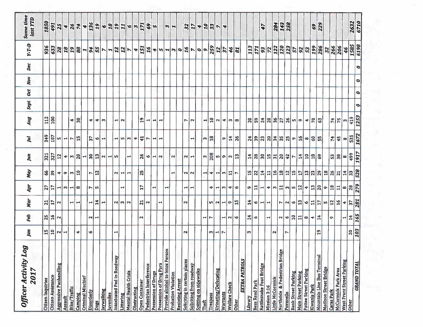| Jan<br>80           |                 | Feb          | Mar                                                                                             | Apr                             | May                   | Jun                                          | Jul <sub>l</sub>                                                                                                                                                                                                                                                                                                    | <b>Bny</b>       | Sept      | Oct       | Nov       | Dec       | Y-T-D                                               | <b>Same time</b><br>last YTD                                                                                                                                                                                                                                                                                                                                                                                                                        |
|---------------------|-----------------|--------------|-------------------------------------------------------------------------------------------------|---------------------------------|-----------------------|----------------------------------------------|---------------------------------------------------------------------------------------------------------------------------------------------------------------------------------------------------------------------------------------------------------------------------------------------------------------------|------------------|-----------|-----------|-----------|-----------|-----------------------------------------------------|-----------------------------------------------------------------------------------------------------------------------------------------------------------------------------------------------------------------------------------------------------------------------------------------------------------------------------------------------------------------------------------------------------------------------------------------------------|
|                     | 하비              | 있는           | 의기~                                                                                             | 있다                              | $ \mathfrak{F} $ ္ကို | $\frac{2}{32}$                               | $\frac{1}{2}$ $\frac{1}{2}$ $\frac{1}{2}$ $\frac{1}{2}$                                                                                                                                                                                                                                                             | $\frac{12}{100}$ |           |           |           |           | $ \frac{26}{36} $ $\frac{26}{36} $ $\frac{26}{36} $ | 1850                                                                                                                                                                                                                                                                                                                                                                                                                                                |
|                     |                 |              |                                                                                                 |                                 |                       |                                              |                                                                                                                                                                                                                                                                                                                     |                  |           |           |           |           |                                                     | 491                                                                                                                                                                                                                                                                                                                                                                                                                                                 |
| $N$ $\vert$ $\vert$ |                 | N,           |                                                                                                 |                                 |                       | 5                                            |                                                                                                                                                                                                                                                                                                                     |                  |           |           |           |           |                                                     | $\overline{25}$                                                                                                                                                                                                                                                                                                                                                                                                                                     |
|                     |                 |              |                                                                                                 |                                 |                       |                                              |                                                                                                                                                                                                                                                                                                                     |                  |           |           |           |           |                                                     |                                                                                                                                                                                                                                                                                                                                                                                                                                                     |
| ٠                   |                 |              | ᆔᆔ                                                                                              | $\frac{1}{2}$ and $\frac{1}{2}$ | ื่ ื่∞ ๓ ฏ            |                                              | $ $ 니스 $ E $                                                                                                                                                                                                                                                                                                        | $\frac{4}{3}$    |           |           |           |           |                                                     | 487                                                                                                                                                                                                                                                                                                                                                                                                                                                 |
|                     |                 |              |                                                                                                 |                                 |                       | $+  \omega  $ 있니잉 이 니 이                      |                                                                                                                                                                                                                                                                                                                     |                  |           |           |           |           |                                                     |                                                                                                                                                                                                                                                                                                                                                                                                                                                     |
| <b>O</b>            |                 |              | H                                                                                               |                                 |                       |                                              | 5                                                                                                                                                                                                                                                                                                                   | ÷۱               |           |           |           |           |                                                     | $* \frac{1}{2} \frac{1}{2} \frac{1}{2} \cdot \frac{1}{2} \cdot \frac{1}{2} \cdot \frac{1}{2} \cdot \frac{1}{2} \cdot \frac{1}{2} \cdot \frac{1}{2} \cdot \frac{1}{2} \cdot \frac{1}{2} \cdot \frac{1}{2} \cdot \frac{1}{2} \cdot \frac{1}{2} \cdot \frac{1}{2} \cdot \frac{1}{2} \cdot \frac{1}{2} \cdot \frac{1}{2} \cdot \frac{1}{2} \cdot \frac{1}{2} \cdot \frac{1}{2} \cdot \frac{1}{2} \cdot \frac{1}{2} \cdot \frac{1}{2} \cdot \frac{1}{2}$ |
|                     |                 | N H          | [북                                                                                              | Nm                              | $\frac{1}{2}$         |                                              |                                                                                                                                                                                                                                                                                                                     |                  |           |           |           |           |                                                     |                                                                                                                                                                                                                                                                                                                                                                                                                                                     |
|                     |                 |              | $\blacktriangleright$                                                                           |                                 |                       |                                              | $ \Psi  \rightarrow$                                                                                                                                                                                                                                                                                                | $+1m$            |           |           |           |           |                                                     |                                                                                                                                                                                                                                                                                                                                                                                                                                                     |
|                     |                 |              |                                                                                                 |                                 |                       |                                              |                                                                                                                                                                                                                                                                                                                     |                  |           |           |           |           |                                                     |                                                                                                                                                                                                                                                                                                                                                                                                                                                     |
|                     | $\blacksquare$  |              |                                                                                                 |                                 |                       |                                              |                                                                                                                                                                                                                                                                                                                     |                  |           |           |           |           |                                                     |                                                                                                                                                                                                                                                                                                                                                                                                                                                     |
|                     |                 |              | $\alpha \omega $ വ                                                                              |                                 | 이러브                   |                                              |                                                                                                                                                                                                                                                                                                                     | ᆔᅐ               |           |           |           |           |                                                     |                                                                                                                                                                                                                                                                                                                                                                                                                                                     |
|                     |                 |              |                                                                                                 |                                 |                       | ч                                            | ᅴᄵᆡᅇᆡᅕᅴ                                                                                                                                                                                                                                                                                                             |                  |           |           |           |           |                                                     |                                                                                                                                                                                                                                                                                                                                                                                                                                                     |
|                     |                 |              |                                                                                                 |                                 |                       |                                              |                                                                                                                                                                                                                                                                                                                     |                  |           |           |           |           |                                                     |                                                                                                                                                                                                                                                                                                                                                                                                                                                     |
|                     |                 | $\mathbf{N}$ |                                                                                                 | 5                               | 25                    | 26                                           |                                                                                                                                                                                                                                                                                                                     | $\overline{19}$  |           |           |           |           |                                                     |                                                                                                                                                                                                                                                                                                                                                                                                                                                     |
|                     |                 |              | $\frac{1}{2}$  ក                                                                                |                                 |                       | $\omega$                                     | $\overline{\phantom{1}}$                                                                                                                                                                                                                                                                                            |                  |           |           |           |           |                                                     |                                                                                                                                                                                                                                                                                                                                                                                                                                                     |
|                     |                 |              |                                                                                                 |                                 |                       |                                              |                                                                                                                                                                                                                                                                                                                     | 리코               |           |           |           |           |                                                     | $\frac{69}{5}$                                                                                                                                                                                                                                                                                                                                                                                                                                      |
|                     |                 |              | ᆋ                                                                                               | н                               |                       | $H\vert N$                                   | ᆋ<br>⊢                                                                                                                                                                                                                                                                                                              |                  |           |           |           |           |                                                     |                                                                                                                                                                                                                                                                                                                                                                                                                                                     |
|                     |                 |              |                                                                                                 | $\blacktriangleright$           |                       |                                              |                                                                                                                                                                                                                                                                                                                     | ÷                |           |           |           |           |                                                     |                                                                                                                                                                                                                                                                                                                                                                                                                                                     |
|                     |                 |              |                                                                                                 |                                 |                       |                                              |                                                                                                                                                                                                                                                                                                                     |                  |           |           |           |           |                                                     | $m -$                                                                                                                                                                                                                                                                                                                                                                                                                                               |
|                     |                 |              |                                                                                                 |                                 | $\mathbf{\mathbf{t}}$ | $\sim$                                       |                                                                                                                                                                                                                                                                                                                     |                  |           |           |           |           |                                                     |                                                                                                                                                                                                                                                                                                                                                                                                                                                     |
|                     | $\mathbf{a}$    |              | $\mathbf{a}$                                                                                    |                                 |                       |                                              |                                                                                                                                                                                                                                                                                                                     |                  |           |           |           |           |                                                     |                                                                                                                                                                                                                                                                                                                                                                                                                                                     |
|                     |                 |              |                                                                                                 | ㅋ  ㅋ                            | $ N $ $ N $           | $\mathbf{z}$                                 |                                                                                                                                                                                                                                                                                                                     | r                |           |           |           |           |                                                     |                                                                                                                                                                                                                                                                                                                                                                                                                                                     |
|                     |                 |              |                                                                                                 |                                 |                       | $\blacksquare$                               | $\blacksquare$                                                                                                                                                                                                                                                                                                      | $\mathbf{N}$     |           |           |           |           |                                                     | $327 + 23 - 4$                                                                                                                                                                                                                                                                                                                                                                                                                                      |
|                     |                 |              |                                                                                                 |                                 |                       |                                              |                                                                                                                                                                                                                                                                                                                     | ᆋ                |           |           |           |           |                                                     |                                                                                                                                                                                                                                                                                                                                                                                                                                                     |
|                     |                 | <b>- 10</b>  |                                                                                                 | ⇥                               |                       | $\left  \frac{1}{200} \right $               | ∣ო∥≌                                                                                                                                                                                                                                                                                                                | 유                |           |           |           |           |                                                     |                                                                                                                                                                                                                                                                                                                                                                                                                                                     |
|                     |                 |              |                                                                                                 |                                 |                       |                                              |                                                                                                                                                                                                                                                                                                                     |                  |           |           |           |           |                                                     |                                                                                                                                                                                                                                                                                                                                                                                                                                                     |
|                     | $m1$ $m1$       |              | ഗ $ N $ പ                                                                                       | H[m]                            | 하하하하다                 | ທ $\vert$ ၈ $\vert$ က $\vert$ $\mathfrak{A}$ | ō                                                                                                                                                                                                                                                                                                                   | $ a $ 4 $ w $ 00 |           |           |           |           |                                                     |                                                                                                                                                                                                                                                                                                                                                                                                                                                     |
|                     |                 | H N R        | ∣n.                                                                                             | ٠I                              |                       |                                              | $\vert \sharp \vert$                                                                                                                                                                                                                                                                                                |                  |           |           |           |           |                                                     |                                                                                                                                                                                                                                                                                                                                                                                                                                                     |
|                     |                 |              | 13                                                                                              | $\bullet$                       |                       |                                              | 26                                                                                                                                                                                                                                                                                                                  |                  |           |           |           |           | $\overline{\mathbf{g}}$                             |                                                                                                                                                                                                                                                                                                                                                                                                                                                     |
|                     |                 |              |                                                                                                 |                                 |                       |                                              |                                                                                                                                                                                                                                                                                                                     |                  |           |           |           |           |                                                     |                                                                                                                                                                                                                                                                                                                                                                                                                                                     |
| m                   |                 |              | $\frac{4}{3}$                                                                                   |                                 |                       |                                              |                                                                                                                                                                                                                                                                                                                     |                  |           |           |           |           |                                                     |                                                                                                                                                                                                                                                                                                                                                                                                                                                     |
|                     |                 | 회의           |                                                                                                 | 히라리                             |                       |                                              | $\frac{1}{2}$ $\frac{1}{2}$ $\frac{1}{2}$ $\frac{1}{2}$ $\frac{1}{2}$ $\frac{1}{2}$ $\frac{1}{2}$ $\frac{1}{2}$ $\frac{1}{2}$ $\frac{1}{2}$ $\frac{1}{2}$ $\frac{1}{2}$ $\frac{1}{2}$ $\frac{1}{2}$ $\frac{1}{2}$ $\frac{1}{2}$ $\frac{1}{2}$ $\frac{1}{2}$ $\frac{1}{2}$ $\frac{1}{2}$ $\frac{1}{2}$ $\frac{1}{2}$ | S S 2 S S P S    |           |           |           |           |                                                     |                                                                                                                                                                                                                                                                                                                                                                                                                                                     |
|                     |                 |              | $\frac{1}{2}$                                                                                   |                                 |                       |                                              |                                                                                                                                                                                                                                                                                                                     |                  |           |           |           |           |                                                     | 47                                                                                                                                                                                                                                                                                                                                                                                                                                                  |
|                     |                 | ⊣            |                                                                                                 |                                 |                       |                                              |                                                                                                                                                                                                                                                                                                                     |                  |           |           |           |           |                                                     |                                                                                                                                                                                                                                                                                                                                                                                                                                                     |
| N                   |                 |              |                                                                                                 |                                 |                       |                                              |                                                                                                                                                                                                                                                                                                                     |                  |           |           |           |           |                                                     |                                                                                                                                                                                                                                                                                                                                                                                                                                                     |
|                     |                 | ~ ~ 읽出~      | $\left  \mathbf{c} \right $ ها                                                                  |                                 |                       |                                              |                                                                                                                                                                                                                                                                                                                     |                  |           |           |           |           |                                                     | 284<br>143<br>258                                                                                                                                                                                                                                                                                                                                                                                                                                   |
| $\triangleright$    |                 |              |                                                                                                 |                                 |                       |                                              |                                                                                                                                                                                                                                                                                                                     |                  |           |           |           |           |                                                     |                                                                                                                                                                                                                                                                                                                                                                                                                                                     |
|                     |                 |              |                                                                                                 |                                 |                       |                                              |                                                                                                                                                                                                                                                                                                                     | ന $ \sigma $     |           |           |           |           |                                                     |                                                                                                                                                                                                                                                                                                                                                                                                                                                     |
|                     |                 |              | [                                                                                               |                                 |                       |                                              | $ \mathbf{a} $                                                                                                                                                                                                                                                                                                      |                  |           |           |           |           |                                                     |                                                                                                                                                                                                                                                                                                                                                                                                                                                     |
|                     |                 |              |                                                                                                 |                                 |                       | 뇌리히                                          | ∞∥ဒ္ပ္ကုဗ္                                                                                                                                                                                                                                                                                                          | $+ 5$            |           |           |           |           |                                                     |                                                                                                                                                                                                                                                                                                                                                                                                                                                     |
|                     |                 | $ -+ $       |                                                                                                 |                                 |                       |                                              |                                                                                                                                                                                                                                                                                                                     |                  |           |           |           |           |                                                     | 69                                                                                                                                                                                                                                                                                                                                                                                                                                                  |
|                     | $\frac{9}{1}$   |              | $\big \circ $ 디 $\big $ 디 $\big \circ\big $ 리 $\big $ 리 $\big $ 리 $\big $ 리 $\big $ 리 $\big $ 리 |                                 |                       | နွ                                           |                                                                                                                                                                                                                                                                                                                     | $\mathbb{S}^3$   |           |           |           |           |                                                     | 229                                                                                                                                                                                                                                                                                                                                                                                                                                                 |
|                     |                 |              |                                                                                                 |                                 |                       |                                              |                                                                                                                                                                                                                                                                                                                     |                  |           |           |           |           |                                                     |                                                                                                                                                                                                                                                                                                                                                                                                                                                     |
|                     |                 | $\Omega$     |                                                                                                 |                                 |                       |                                              |                                                                                                                                                                                                                                                                                                                     |                  |           |           |           |           |                                                     |                                                                                                                                                                                                                                                                                                                                                                                                                                                     |
|                     |                 |              |                                                                                                 |                                 |                       | $ \mathfrak{B} \mathfrak{B} $ စ $ $          | 부부의                                                                                                                                                                                                                                                                                                                 | $ z _{2}$        |           |           |           |           |                                                     |                                                                                                                                                                                                                                                                                                                                                                                                                                                     |
|                     |                 | 니부           |                                                                                                 |                                 |                       |                                              |                                                                                                                                                                                                                                                                                                                     |                  |           |           |           |           | $\frac{9}{7}$                                       |                                                                                                                                                                                                                                                                                                                                                                                                                                                     |
|                     | $\frac{20}{10}$ |              |                                                                                                 |                                 |                       | $\frac{65}{4}$                               | 535                                                                                                                                                                                                                                                                                                                 | $\frac{1}{2}$    |           |           |           |           | <u>1585</u><br>6198                                 | <b>Z632</b><br>6710                                                                                                                                                                                                                                                                                                                                                                                                                                 |
|                     |                 | 165          |                                                                                                 |                                 | 528                   | 1917                                         | 1672                                                                                                                                                                                                                                                                                                                | 1253             | $\bullet$ | $\bullet$ | $\bullet$ | $\bullet$ |                                                     |                                                                                                                                                                                                                                                                                                                                                                                                                                                     |

 $\sim$